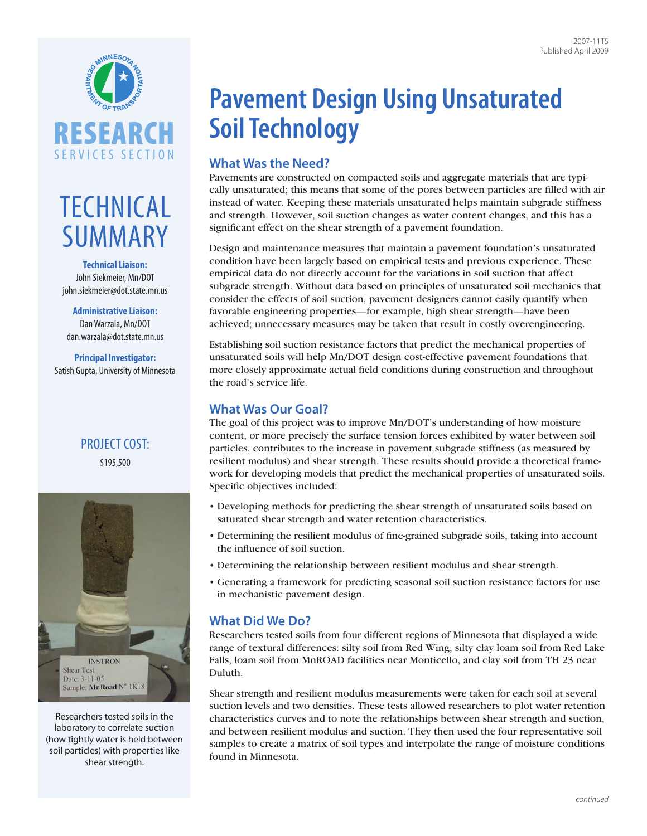

# **TECHNICAL SUMMARY**

#### **Technical Liaison:**  John Siekmeier, Mn/DOT [john.siekmeier@dot.state.mn.us](mailto:john.siekmeier@dot.state.mn.us)

**Administrative Liaison:**  Dan Warzala, Mn/DOT [dan.warzala@dot.state.mn.us](mailto:dan.warzala@dot.state.mn.us)

**Principal Investigator:**  Satish Gupta, University of Minnesota

## Project cost: \$195,500



Researchers tested soils in the laboratory to correlate suction (how tightly water is held between soil particles) with properties like shear strength.

# **Pavement Design Using Unsaturated Soil Technology**

# **What Was the Need?**

Pavements are constructed on compacted soils and aggregate materials that are typically unsaturated; this means that some of the pores between particles are filled with air instead of water. Keeping these materials unsaturated helps maintain subgrade stiffness and strength. However, soil suction changes as water content changes, and this has a significant effect on the shear strength of a pavement foundation.

Design and maintenance measures that maintain a pavement foundation's unsaturated condition have been largely based on empirical tests and previous experience. These empirical data do not directly account for the variations in soil suction that affect subgrade strength. Without data based on principles of unsaturated soil mechanics that consider the effects of soil suction, pavement designers cannot easily quantify when favorable engineering properties—for example, high shear strength—have been achieved; unnecessary measures may be taken that result in costly overengineering.

Establishing soil suction resistance factors that predict the mechanical properties of unsaturated soils will help Mn/DOT design cost-effective pavement foundations that more closely approximate actual field conditions during construction and throughout the road's service life.

## **What Was Our Goal?**

The goal of this project was to improve Mn/DOT's understanding of how moisture content, or more precisely the surface tension forces exhibited by water between soil particles, contributes to the increase in pavement subgrade stiffness (as measured by resilient modulus) and shear strength. These results should provide a theoretical framework for developing models that predict the mechanical properties of unsaturated soils. Specific objectives included:

- Developing methods for predicting the shear strength of unsaturated soils based on saturated shear strength and water retention characteristics.
- Determining the resilient modulus of fine-grained subgrade soils, taking into account the influence of soil suction.
- Determining the relationship between resilient modulus and shear strength.
- Generating a framework for predicting seasonal soil suction resistance factors for use in mechanistic pavement design.

## **What Did We Do?**

Researchers tested soils from four different regions of Minnesota that displayed a wide range of textural differences: silty soil from Red Wing, silty clay loam soil from Red Lake Falls, loam soil from MnROAD facilities near Monticello, and clay soil from TH 23 near Duluth.

Shear strength and resilient modulus measurements were taken for each soil at several suction levels and two densities. These tests allowed researchers to plot water retention characteristics curves and to note the relationships between shear strength and suction, and between resilient modulus and suction. They then used the four representative soil samples to create a matrix of soil types and interpolate the range of moisture conditions found in Minnesota.